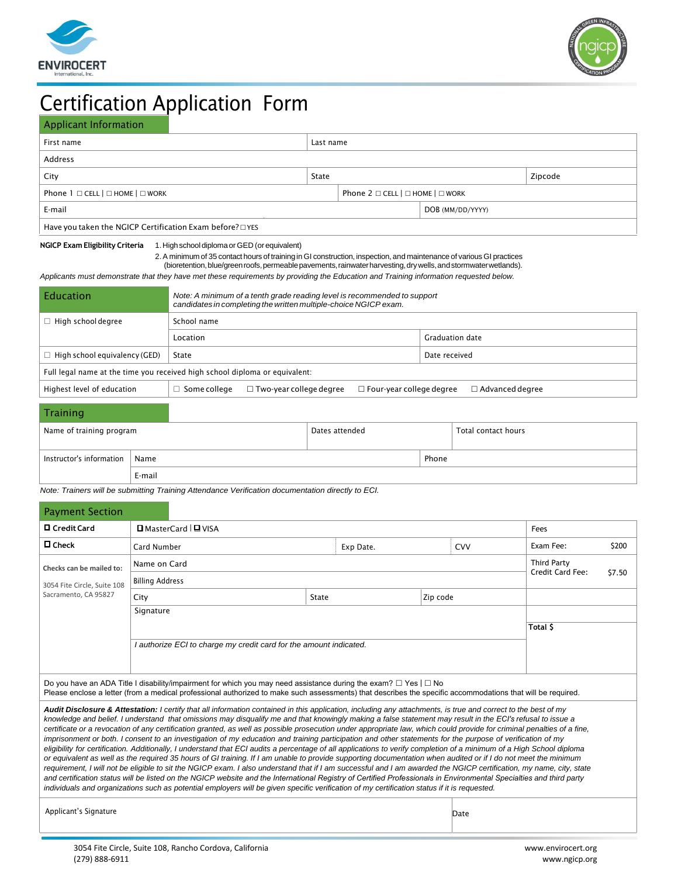



# Certification Application Form

### Applicant Information

| First name                                               | Last name                                              |  |                  |  |  |
|----------------------------------------------------------|--------------------------------------------------------|--|------------------|--|--|
| Address                                                  |                                                        |  |                  |  |  |
| City                                                     | <b>State</b><br>Zipcode                                |  |                  |  |  |
| Phone $1 \square$ CELL $  \square$ HOME $  \square$ WORK | Phone $2 \square$ CELL $ \square$ HOME $ \square$ WORK |  |                  |  |  |
| E-mail                                                   |                                                        |  | DOB (MM/DD/YYYY) |  |  |
| Have you taken the NGICP Certification Exam before? OYES |                                                        |  |                  |  |  |

#### **NGICP Exam Eligibility Criteria** 1. High school diploma or GED (or equivalent)

2. A minimum of 35 contact hours of training in GI construction, inspection, and maintenance of various GI practices

(bioretention, blue/green roofs, permeable pavements, rainwater harvesting, dry wells, and stormwater wetlands).

*Applicants must demonstrate that they have met these requirements by providing the Education and Training information requested below.* 

| Note: A minimum of a tenth grade reading level is recommended to support<br>candidates in completing the written multiple-choice NGICP exam. |  |  |                 |  |  |  |
|----------------------------------------------------------------------------------------------------------------------------------------------|--|--|-----------------|--|--|--|
| School name                                                                                                                                  |  |  |                 |  |  |  |
| Location                                                                                                                                     |  |  | Graduation date |  |  |  |
| State                                                                                                                                        |  |  | Date received   |  |  |  |
| Full legal name at the time you received high school diploma or equivalent:                                                                  |  |  |                 |  |  |  |
| $\Box$ Two-year college degree<br>$\Box$ Advanced degree<br>$\Box$ Some college<br>$\Box$ Four-year college degree                           |  |  |                 |  |  |  |
|                                                                                                                                              |  |  |                 |  |  |  |

| Training                 |        |                |       |                     |
|--------------------------|--------|----------------|-------|---------------------|
| Name of training program |        | Dates attended |       | Total contact hours |
| Instructor's information | Name   |                | Phone |                     |
|                          | E-mail |                |       |                     |

*Note: Trainers will be submitting Training Attendance Verification documentation directly to ECI.* 

| <b>Payment Section</b>                                             |                                                                                                                                                                                                                                                                                                                                                                                                                                                                                                                                                                                                                                                                                                                                                                                                                                                                                                                                                                                                                                                                                                                                                                                                                                                                                                                                                                                                                                                                                                              |              |                         |  |                                                  |                         |       |
|--------------------------------------------------------------------|--------------------------------------------------------------------------------------------------------------------------------------------------------------------------------------------------------------------------------------------------------------------------------------------------------------------------------------------------------------------------------------------------------------------------------------------------------------------------------------------------------------------------------------------------------------------------------------------------------------------------------------------------------------------------------------------------------------------------------------------------------------------------------------------------------------------------------------------------------------------------------------------------------------------------------------------------------------------------------------------------------------------------------------------------------------------------------------------------------------------------------------------------------------------------------------------------------------------------------------------------------------------------------------------------------------------------------------------------------------------------------------------------------------------------------------------------------------------------------------------------------------|--------------|-------------------------|--|--------------------------------------------------|-------------------------|-------|
| □ Credit Card                                                      | □ MasterCard I □ VISA                                                                                                                                                                                                                                                                                                                                                                                                                                                                                                                                                                                                                                                                                                                                                                                                                                                                                                                                                                                                                                                                                                                                                                                                                                                                                                                                                                                                                                                                                        |              |                         |  |                                                  | Fees                    |       |
| $\square$ Check                                                    | Card Number                                                                                                                                                                                                                                                                                                                                                                                                                                                                                                                                                                                                                                                                                                                                                                                                                                                                                                                                                                                                                                                                                                                                                                                                                                                                                                                                                                                                                                                                                                  |              | Exp Date.<br><b>CVV</b> |  |                                                  | <b>Application Fee:</b> | \$100 |
| Checks can be mailed to:                                           | Name on Card                                                                                                                                                                                                                                                                                                                                                                                                                                                                                                                                                                                                                                                                                                                                                                                                                                                                                                                                                                                                                                                                                                                                                                                                                                                                                                                                                                                                                                                                                                 |              |                         |  | <b>Third Party</b><br>Credit Card Fee:<br>\$7.50 |                         |       |
| 3054 Fite Circle, Suite 108                                        | <b>Billing Address</b>                                                                                                                                                                                                                                                                                                                                                                                                                                                                                                                                                                                                                                                                                                                                                                                                                                                                                                                                                                                                                                                                                                                                                                                                                                                                                                                                                                                                                                                                                       |              |                         |  |                                                  |                         |       |
| Sacramento, CA 95827                                               | City                                                                                                                                                                                                                                                                                                                                                                                                                                                                                                                                                                                                                                                                                                                                                                                                                                                                                                                                                                                                                                                                                                                                                                                                                                                                                                                                                                                                                                                                                                         | <b>State</b> | Zip code                |  |                                                  |                         |       |
|                                                                    | Signature                                                                                                                                                                                                                                                                                                                                                                                                                                                                                                                                                                                                                                                                                                                                                                                                                                                                                                                                                                                                                                                                                                                                                                                                                                                                                                                                                                                                                                                                                                    |              |                         |  |                                                  |                         |       |
|                                                                    |                                                                                                                                                                                                                                                                                                                                                                                                                                                                                                                                                                                                                                                                                                                                                                                                                                                                                                                                                                                                                                                                                                                                                                                                                                                                                                                                                                                                                                                                                                              |              |                         |  |                                                  | Total \$                |       |
| I authorize ECI to charge my credit card for the amount indicated. |                                                                                                                                                                                                                                                                                                                                                                                                                                                                                                                                                                                                                                                                                                                                                                                                                                                                                                                                                                                                                                                                                                                                                                                                                                                                                                                                                                                                                                                                                                              |              |                         |  |                                                  |                         |       |
|                                                                    |                                                                                                                                                                                                                                                                                                                                                                                                                                                                                                                                                                                                                                                                                                                                                                                                                                                                                                                                                                                                                                                                                                                                                                                                                                                                                                                                                                                                                                                                                                              |              |                         |  |                                                  |                         |       |
|                                                                    | Do you have an ADA Title I disability/impairment for which you may need assistance during the exam? $\Box$ Yes $\Box$ No<br>Please enclose a letter (from a medical professional authorized to make such assessments) that describes the specific accommodations that will be required.                                                                                                                                                                                                                                                                                                                                                                                                                                                                                                                                                                                                                                                                                                                                                                                                                                                                                                                                                                                                                                                                                                                                                                                                                      |              |                         |  |                                                  |                         |       |
|                                                                    | Audit Disclosure & Attestation: I certify that all information contained in this application, including any attachments, is true and correct to the best of my<br>knowledge and belief. I understand that omissions may disqualify me and that knowingly making a false statement may result in the ECI's refusal to issue a<br>certificate or a revocation of any certification granted, as well as possible prosecution under appropriate law, which could provide for criminal penalties of a fine,<br>imprisonment or both. I consent to an investigation of my education and training participation and other statements for the purpose of verification of my<br>eligibility for certification. Additionally, I understand that ECI audits a percentage of all applications to verify completion of a minimum of a High School diploma<br>or equivalent as well as the required 35 hours of GI training. If I am unable to provide supporting documentation when audited or if I do not meet the minimum<br>requirement, I will not be eligible to sit the NGICP exam. I also understand that if I am successful and I am awarded the NGICP certification, my name, city, state<br>and certification status will be listed on the NGICP website and the International Registry of Certified Professionals in Environmental Specialties and third party<br>individuals and organizations such as potential employers will be given specific verification of my certification status if it is requested. |              |                         |  |                                                  |                         |       |
| Applicant's Signature                                              |                                                                                                                                                                                                                                                                                                                                                                                                                                                                                                                                                                                                                                                                                                                                                                                                                                                                                                                                                                                                                                                                                                                                                                                                                                                                                                                                                                                                                                                                                                              |              |                         |  | Date                                             |                         |       |